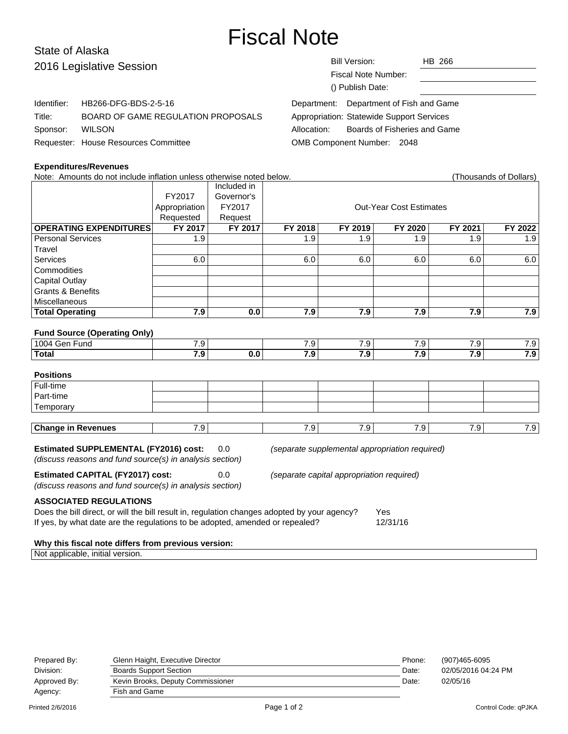# Fiscal Note

# State of Alaska 2016 Legislat

| 2016 Legislative Session |                                      | <b>Bill Version:</b><br>HB 266              |  |
|--------------------------|--------------------------------------|---------------------------------------------|--|
|                          |                                      | Fiscal Note Number:                         |  |
|                          |                                      | () Publish Date:                            |  |
| Identifier:              | HB266-DFG-BDS-2-5-16                 | Department of Fish and Game<br>Department:  |  |
| Title:                   | BOARD OF GAME REGULATION PROPOSALS   | Appropriation: Statewide Support Services   |  |
| Sponsor:                 | <b>WILSON</b>                        | Boards of Fisheries and Game<br>Allocation: |  |
|                          | Requester: House Resources Committee | OMB Component Number: 2048                  |  |

### **Expenditures/Revenues**

Note: Amounts do not include inflation unless otherwise noted below. (Thousands of Dollars) Included in FY2017 Governor's Appropriation FY2017 | COUL-Year Cost Estimates Requested | Request **OPERATING EXPENDITURES FY 2017 FY 2017 FY 2018 FY 2019 FY 2020 FY 2021 FY 2022** Personal Services 1.9 1.9 1.9 1.9 1.9 1.9 **Travel** Services | 6.0 | | 6.0 | 6.0 | 6.0 | 6.0 | 6.0 **Commodities** Capital Outlay Grants & Benefits **Miscellaneous Total Operating 7.9 0.0 7.9 7.9 7.9 7.9 7.9 Fund Source (Operating Only)** 1004 Gen Fund T.9 7.9 7.9 7.9 7.9 7.9 7.9 7.9 7.9 7.9 **Total 7.9 0.0 7.9 7.9 7.9 7.9 7.9 Positions** Full-time Part-time **Temporary Change in Revenues** 1 7.9 7.9 7.9 7.9 7.9 7.9 7.9 7.9 **Estimated SUPPLEMENTAL (FY2016) cost:** 0.0 (separate supplemental appropriation required) (discuss reasons and fund source(s) in analysis section) **Estimated CAPITAL (FY2017) cost:** 0.0 (separate capital appropriation required) (discuss reasons and fund source(s) in analysis section) **ASSOCIATED REGULATIONS** Does the bill direct, or will the bill result in, regulation changes adopted by your agency? Yes If yes, by what date are the regulations to be adopted, amended or repealed? 12/31/16

#### **Why this fiscal note differs from previous version:**

Not applicable, initial version.

| Prepared By: | Glenn Haight, Executive Director  | Phone: | (907)465-6095       |
|--------------|-----------------------------------|--------|---------------------|
| Division:    | <b>Boards Support Section</b>     | Date:  | 02/05/2016 04:24 PM |
| Approved By: | Kevin Brooks, Deputy Commissioner | Date:  | 02/05/16            |
| Agency:      | Fish and Game                     |        |                     |
|              |                                   |        |                     |